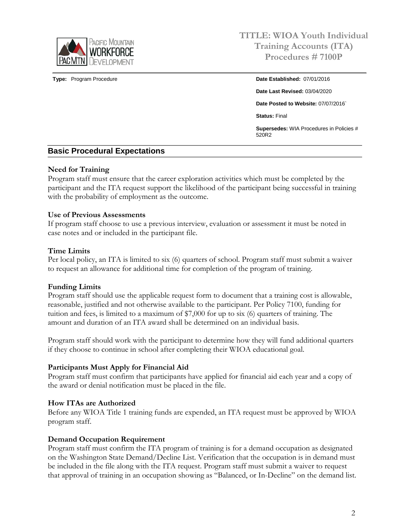

**Type:** Program Procedure **Date Established:** 07/01/2016

**Date Last Revised:** 03/04/2020 **Date Posted to Website:** 07/07/2016` **Status:** Final

**Supersedes:** WIA Procedures in Policies # 520R2

## **Basic Procedural Expectations**

### **Need for Training**

Program staff must ensure that the career exploration activities which must be completed by the participant and the ITA request support the likelihood of the participant being successful in training with the probability of employment as the outcome.

### **Use of Previous Assessments**

If program staff choose to use a previous interview, evaluation or assessment it must be noted in case notes and or included in the participant file.

### **Time Limits**

Per local policy, an ITA is limited to six (6) quarters of school. Program staff must submit a waiver to request an allowance for additional time for completion of the program of training.

## **Funding Limits**

Program staff should use the applicable request form to document that a training cost is allowable, reasonable, justified and not otherwise available to the participant. Per Policy 7100, funding for tuition and fees, is limited to a maximum of \$7,000 for up to six (6) quarters of training. The amount and duration of an ITA award shall be determined on an individual basis.

Program staff should work with the participant to determine how they will fund additional quarters if they choose to continue in school after completing their WIOA educational goal.

## **Participants Must Apply for Financial Aid**

Program staff must confirm that participants have applied for financial aid each year and a copy of the award or denial notification must be placed in the file.

### **How ITAs are Authorized**

Before any WIOA Title 1 training funds are expended, an ITA request must be approved by WIOA program staff.

### **Demand Occupation Requirement**

Program staff must confirm the ITA program of training is for a demand occupation as designated on the Washington State Demand/Decline List. Verification that the occupation is in demand must be included in the file along with the ITA request. Program staff must submit a waiver to request that approval of training in an occupation showing as "Balanced, or In-Decline" on the demand list.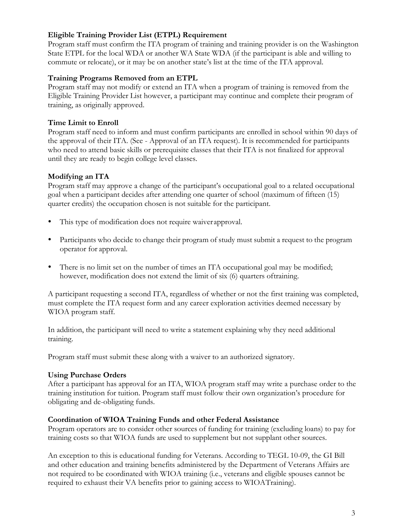## **Eligible Training Provider List (ETPL) Requirement**

Program staff must confirm the ITA program of training and training provider is on the Washington State ETPL for the local WDA or another WA State WDA (if the participant is able and willing to commute or relocate), or it may be on another state's list at the time of the ITA approval.

## **Training Programs Removed from an ETPL**

Program staff may not modify or extend an ITA when a program of training is removed from the Eligible Training Provider List however, a participant may continue and complete their program of training, as originally approved.

# **Time Limit to Enroll**

Program staff need to inform and must confirm participants are enrolled in school within 90 days of the approval of their ITA. (See - Approval of an ITA request). It is recommended for participants who need to attend basic skills or prerequisite classes that their ITA is not finalized for approval until they are ready to begin college level classes.

# **Modifying an ITA**

Program staff may approve a change of the participant's occupational goal to a related occupational goal when a participant decides after attending one quarter of school (maximum of fifteen (15) quarter credits) the occupation chosen is not suitable for the participant.

- This type of modification does not require waiverapproval.
- Participants who decide to change their program of study must submit a request to the program operator for approval.
- There is no limit set on the number of times an ITA occupational goal may be modified; however, modification does not extend the limit of six (6) quarters oftraining.

A participant requesting a second ITA, regardless of whether or not the first training was completed, must complete the ITA request form and any career exploration activities deemed necessary by WIOA program staff.

In addition, the participant will need to write a statement explaining why they need additional training.

Program staff must submit these along with a waiver to an authorized signatory.

## **Using Purchase Orders**

After a participant has approval for an ITA, WIOA program staff may write a purchase order to the training institution for tuition. Program staff must follow their own organization's procedure for obligating and de-obligating funds.

## **Coordination of WIOA Training Funds and other Federal Assistance**

Program operators are to consider other sources of funding for training (excluding loans) to pay for training costs so that WIOA funds are used to supplement but not supplant other sources.

An exception to this is educational funding for Veterans. According to TEGL 10-09, the GI Bill and other education and training benefits administered by the Department of Veterans Affairs are not required to be coordinated with WIOA training (i.e., veterans and eligible spouses cannot be required to exhaust their VA benefits prior to gaining access to WIOATraining).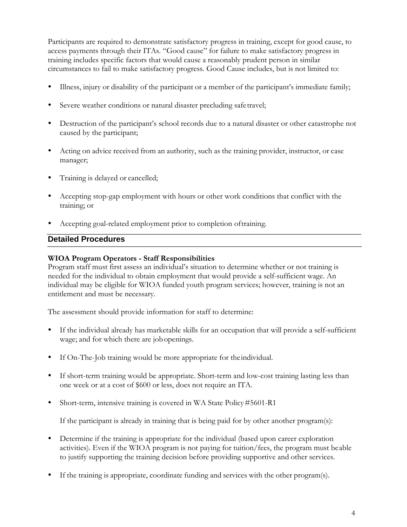Participants are required to demonstrate satisfactory progress in training, except for good cause, to access payments through their ITAs. "Good cause" for failure to make satisfactory progress in training includes specific factors that would cause a reasonably prudent person in similar circumstances to fail to make satisfactory progress. Good Cause includes, but is not limited to:

- Illness, injury or disability of the participant or a member of the participant's immediate family;
- Severe weather conditions or natural disaster precluding safetravel;
- Destruction of the participant's school records due to a natural disaster or other catastrophe not caused by the participant;
- Acting on advice received from an authority, such as the training provider, instructor, or case manager;
- Training is delayed or cancelled;
- Accepting stop-gap employment with hours or other work conditions that conflict with the training; or
- Accepting goal-related employment prior to completion oftraining.

### **Detailed Procedures**

### **WIOA Program Operators - Staff Responsibilities**

Program staff must first assess an individual's situation to determine whether or not training is needed for the individual to obtain employment that would provide a self-sufficient wage. An individual may be eligible for WIOA funded youth program services; however, training is not an entitlement and must be necessary.

The assessment should provide information for staff to determine:

- If the individual already has marketable skills for an occupation that will provide a self-sufficient wage; and for which there are jobopenings.
- If On-The-Job training would be more appropriate for theindividual.
- If short-term training would be appropriate. Short-term and low-cost training lasting less than one week or at a cost of \$600 or less, does not require an ITA.
- Short-term, intensive training is covered in WA State Policy#5601-R1

If the participant is already in training that is being paid for by other another program(s):

- Determine if the training is appropriate for the individual (based upon career exploration activities). Even if the WIOA program is not paying for tuition/fees, the program must beable to justify supporting the training decision before providing supportive and other services.
- If the training is appropriate, coordinate funding and services with the other program(s).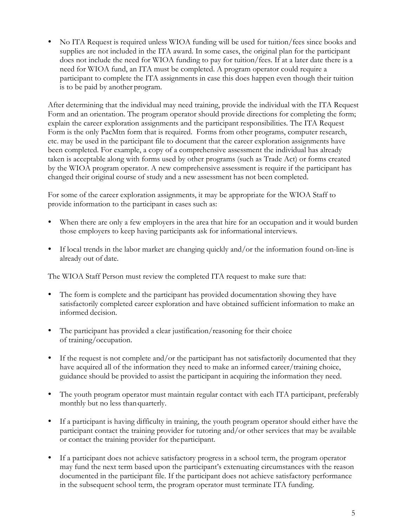No ITA Request is required unless WIOA funding will be used for tuition/fees since books and supplies are not included in the ITA award. In some cases, the original plan for the participant does not include the need for WIOA funding to pay for tuition/fees. If at a later date there is a need for WIOA fund, an ITA must be completed. A program operator could require a participant to complete the ITA assignments in case this does happen even though their tuition is to be paid by another program.

After determining that the individual may need training, provide the individual with the ITA Request Form and an orientation. The program operator should provide directions for completing the form; explain the career exploration assignments and the participant responsibilities. The ITA Request Form is the only PacMtn form that is required. Forms from other programs, computer research, etc. may be used in the participant file to document that the career exploration assignments have been completed. For example, a copy of a comprehensive assessment the individual has already taken is acceptable along with forms used by other programs (such as Trade Act) or forms created by the WIOA program operator. A new comprehensive assessment is require if the participant has changed their original course of study and a new assessment has not been completed.

For some of the career exploration assignments, it may be appropriate for the WIOA Staff to provide information to the participant in cases such as:

- When there are only a few employers in the area that hire for an occupation and it would burden those employers to keep having participants ask for informational interviews.
- If local trends in the labor market are changing quickly and/or the information found on-line is already out of date.

The WIOA Staff Person must review the completed ITA request to make sure that:

- The form is complete and the participant has provided documentation showing they have satisfactorily completed career exploration and have obtained sufficient information to make an informed decision.
- The participant has provided a clear justification/reasoning for their choice of training/occupation.
- If the request is not complete and/or the participant has not satisfactorily documented that they have acquired all of the information they need to make an informed career/training choice, guidance should be provided to assist the participant in acquiring the information they need.
- The youth program operator must maintain regular contact with each ITA participant, preferably monthly but no less thanquarterly.
- If a participant is having difficulty in training, the youth program operator should either have the participant contact the training provider for tutoring and/or other services that may be available or contact the training provider for theparticipant.
- If a participant does not achieve satisfactory progress in a school term, the program operator may fund the next term based upon the participant's extenuating circumstances with the reason documented in the participant file. If the participant does not achieve satisfactory performance in the subsequent school term, the program operator must terminate ITA funding.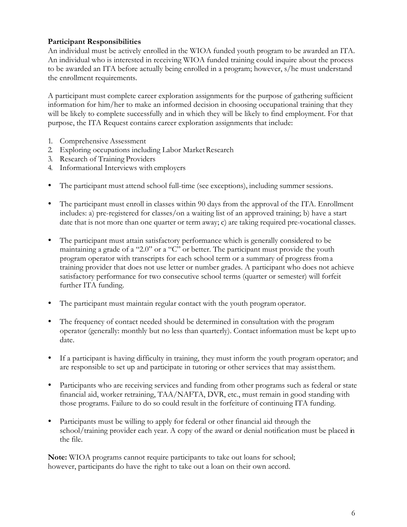## **Participant Responsibilities**

An individual must be actively enrolled in the WIOA funded youth program to be awarded an ITA. An individual who is interested in receiving WIOA funded training could inquire about the process to be awarded an ITA before actually being enrolled in a program; however, s/he must understand the enrollment requirements.

A participant must complete career exploration assignments for the purpose of gathering sufficient information for him/her to make an informed decision in choosing occupational training that they will be likely to complete successfully and in which they will be likely to find employment. For that purpose, the ITA Request contains career exploration assignments that include:

- 1. Comprehensive Assessment
- 2. Exploring occupations including Labor Market Research
- 3. Research of Training Providers
- 4. Informational Interviews with employers
- The participant must attend school full-time (see exceptions), including summer sessions.
- The participant must enroll in classes within 90 days from the approval of the ITA. Enrollment includes: a) pre-registered for classes/on a waiting list of an approved training; b) have a start date that is not more than one quarter or term away; c) are taking required pre-vocational classes.
- The participant must attain satisfactory performance which is generally considered to be maintaining a grade of a "2.0" or a "C" or better. The participant must provide the youth program operator with transcripts for each school term or a summary of progress froma training provider that does not use letter or number grades. A participant who does not achieve satisfactory performance for two consecutive school terms (quarter or semester) will forfeit further ITA funding.
- The participant must maintain regular contact with the youth program operator.
- The frequency of contact needed should be determined in consultation with the program operator (generally: monthly but no less than quarterly). Contact information must be kept upto date.
- If a participant is having difficulty in training, they must inform the youth program operator; and are responsible to set up and participate in tutoring or other services that may assistthem.
- Participants who are receiving services and funding from other programs such as federal or state financial aid, worker retraining, TAA/NAFTA, DVR, etc., must remain in good standing with those programs. Failure to do so could result in the forfeiture of continuing ITA funding.
- Participants must be willing to apply for federal or other financial aid through the school/training provider each year. A copy of the award or denial notification must be placed in the file.

**Note:** WIOA programs cannot require participants to take out loans for school; however, participants do have the right to take out a loan on their own accord.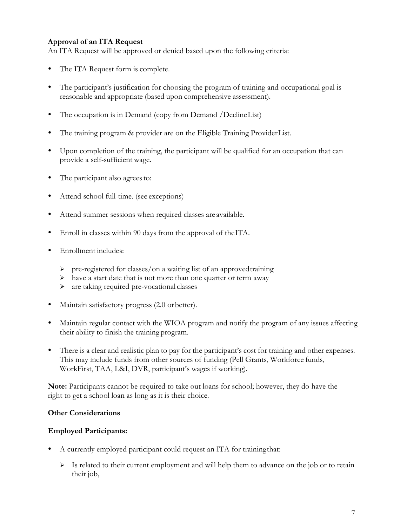## **Approval of an ITA Request**

An ITA Request will be approved or denied based upon the following criteria:

- The ITA Request form is complete.
- The participant's justification for choosing the program of training and occupational goal is reasonable and appropriate (based upon comprehensive assessment).
- The occupation is in Demand (copy from Demand /DeclineList)
- The training program & provider are on the Eligible Training ProviderList.
- Upon completion of the training, the participant will be qualified for an occupation that can provide a self-sufficient wage.
- The participant also agrees to:
- Attend school full-time. (see exceptions)
- Attend summer sessions when required classes are available.
- Enroll in classes within 90 days from the approval of theITA.
- Enrollment includes:
	- $\triangleright$  pre-registered for classes/on a waiting list of an approved training
	- $\triangleright$  have a start date that is not more than one quarter or term away
	- are taking required pre-vocational classes
- Maintain satisfactory progress (2.0 orbetter).
- Maintain regular contact with the WIOA program and notify the program of any issues affecting their ability to finish the training program.
- There is a clear and realistic plan to pay for the participant's cost for training and other expenses. This may include funds from other sources of funding (Pell Grants, Workforce funds, WorkFirst, TAA, L&I, DVR, participant's wages if working).

**Note:** Participants cannot be required to take out loans for school; however, they do have the right to get a school loan as long as it is their choice.

### **Other Considerations**

### **Employed Participants:**

- A currently employed participant could request an ITA for trainingthat:
	- $\triangleright$  Is related to their current employment and will help them to advance on the job or to retain their job,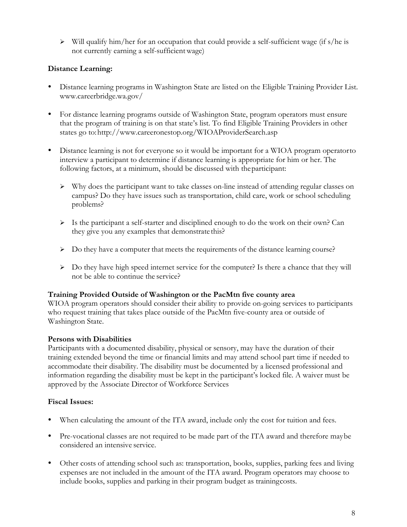$\triangleright$  Will qualify him/her for an occupation that could provide a self-sufficient wage (if s/he is not currently earning a self-sufficientwage)

## **Distance Learning:**

- Distance learning programs in Washington State are listed on the Eligible Training Provider Lis[t.](http://www.careerbridge.wa.gov/) [www.careerbridge.wa.gov/](http://www.careerbridge.wa.gov/)
- For distance learning programs outside of Washington State, program operators must ensure that the program of training is on that state's list. To find Eligible Training Providers in other states go to[:http://www.careeronestop.org/WIOAProviderSearch.asp](http://www.careeronestop.org/WIOAProviderSearch.asp)
- Distance learning is not for everyone so it would be important for a WIOA program operatorto interview a participant to determine if distance learning is appropriate for him or her. The following factors, at a minimum, should be discussed with theparticipant:
	- Why does the participant want to take classes on-line instead of attending regular classes on campus? Do they have issues such as transportation, child care, work or school scheduling problems?
	- $\triangleright$  Is the participant a self-starter and disciplined enough to do the work on their own? Can they give you any examples that demonstrate this?
	- $\triangleright$  Do they have a computer that meets the requirements of the distance learning course?
	- $\triangleright$  Do they have high speed internet service for the computer? Is there a chance that they will not be able to continue the service?

## **Training Provided Outside of Washington or the PacMtn five county area**

WIOA program operators should consider their ability to provide on-going services to participants who request training that takes place outside of the PacMtn five-county area or outside of Washington State.

## **Persons with Disabilities**

Participants with a documented disability, physical or sensory, may have the duration of their training extended beyond the time or financial limits and may attend school part time if needed to accommodate their disability. The disability must be documented by a licensed professional and information regarding the disability must be kept in the participant's locked file. A waiver must be approved by the Associate Director of Workforce Services

## **Fiscal Issues:**

- When calculating the amount of the ITA award, include only the cost for tuition and fees.
- Pre-vocational classes are not required to be made part of the ITA award and therefore maybe considered an intensive service.
- Other costs of attending school such as: transportation, books, supplies, parking fees and living expenses are not included in the amount of the ITA award. Program operators may choose to include books, supplies and parking in their program budget as trainingcosts.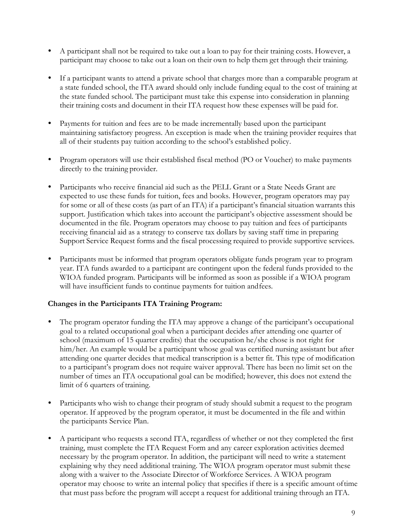- A participant shall not be required to take out a loan to pay for their training costs. However, a participant may choose to take out a loan on their own to help them get through their training.
- If a participant wants to attend a private school that charges more than a comparable program at a state funded school, the ITA award should only include funding equal to the cost of training at the state funded school. The participant must take this expense into consideration in planning their training costs and document in their ITA request how these expenses will be paid for.
- Payments for tuition and fees are to be made incrementally based upon the participant maintaining satisfactory progress. An exception is made when the training provider requires that all of their students pay tuition according to the school's established policy.
- Program operators will use their established fiscal method (PO or Voucher) to make payments directly to the training provider.
- Participants who receive financial aid such as the PELL Grant or a State Needs Grant are expected to use these funds for tuition, fees and books. However, program operators may pay for some or all of these costs (as part of an ITA) if a participant's financial situation warrants this support. Justification which takes into account the participant's objective assessment should be documented in the file. Program operators may choose to pay tuition and fees of participants receiving financial aid as a strategy to conserve tax dollars by saving staff time in preparing Support Service Request forms and the fiscal processing required to provide supportive services.
- Participants must be informed that program operators obligate funds program year to program year. ITA funds awarded to a participant are contingent upon the federal funds provided to the WIOA funded program. Participants will be informed as soon as possible if a WIOA program will have insufficient funds to continue payments for tuition andfees.

## **Changes in the Participants ITA Training Program:**

- The program operator funding the ITA may approve a change of the participant's occupational goal to a related occupational goal when a participant decides after attending one quarter of school (maximum of 15 quarter credits) that the occupation he/she chose is not right for him/her. An example would be a participant whose goal was certified nursing assistant but after attending one quarter decides that medical transcription is a better fit. This type of modification to a participant's program does not require waiver approval. There has been no limit set on the number of times an ITA occupational goal can be modified; however, this does not extend the limit of 6 quarters of training.
- Participants who wish to change their program of study should submit a request to the program operator. If approved by the program operator, it must be documented in the file and within the participants Service Plan.
- A participant who requests a second ITA, regardless of whether or not they completed the first training, must complete the ITA Request Form and any career exploration activities deemed necessary by the program operator. In addition, the participant will need to write a statement explaining why they need additional training. The WIOA program operator must submit these along with a waiver to the Associate Director of Workforce Services. A WIOA program operator may choose to write an internal policy that specifies if there is a specific amount oftime that must pass before the program will accept a request for additional training through an ITA.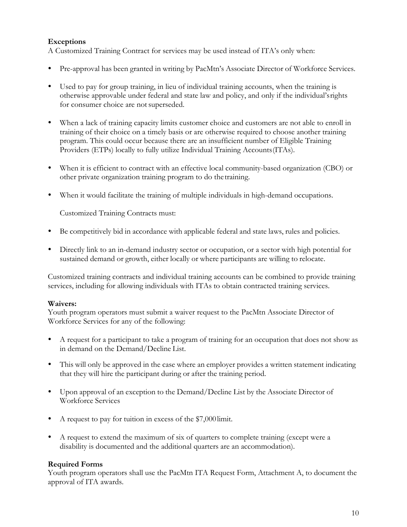## **Exceptions**

A Customized Training Contract for services may be used instead of ITA's only when:

- Pre-approval has been granted in writing by PacMtn's Associate Director of Workforce Services.
- Used to pay for group training, in lieu of individual training accounts, when the training is otherwise approvable under federal and state law and policy, and only if the individual'srights for consumer choice are not superseded.
- When a lack of training capacity limits customer choice and customers are not able to enroll in training of their choice on a timely basis or are otherwise required to choose another training program. This could occur because there are an insufficient number of Eligible Training Providers (ETPs) locally to fully utilize Individual Training Accounts(ITAs).
- When it is efficient to contract with an effective local community-based organization (CBO) or other private organization training program to do thetraining.
- When it would facilitate the training of multiple individuals in high-demand occupations.

Customized Training Contracts must:

- Be competitively bid in accordance with applicable federal and state laws, rules and policies.
- Directly link to an in-demand industry sector or occupation, or a sector with high potential for sustained demand or growth, either locally or where participants are willing to relocate.

Customized training contracts and individual training accounts can be combined to provide training services, including for allowing individuals with ITAs to obtain contracted training services.

### **Waivers:**

Youth program operators must submit a waiver request to the PacMtn Associate Director of Workforce Services for any of the following:

- A request for a participant to take a program of training for an occupation that does not show as in demand on the Demand/Decline List.
- This will only be approved in the case where an employer provides a written statement indicating that they will hire the participant during or after the training period.
- Upon approval of an exception to the Demand/Decline List by the Associate Director of Workforce Services
- A request to pay for tuition in excess of the \$7,000limit.
- A request to extend the maximum of six of quarters to complete training (except were a disability is documented and the additional quarters are an accommodation).

### **Required Forms**

Youth program operators shall use the PacMtn ITA Request Form, Attachment A, to document the approval of ITA awards.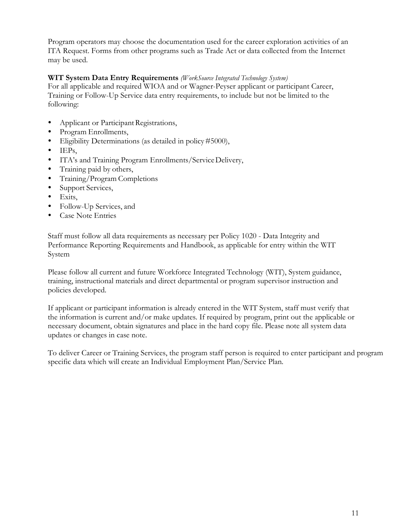Program operators may choose the documentation used for the career exploration activities of an ITA Request. Forms from other programs such as Trade Act or data collected from the Internet may be used.

## **WIT System Data Entry Requirements** *(WorkSource Integrated Technology System)*

For all applicable and required WIOA and or Wagner-Peyser applicant or participant Career, Training or Follow-Up Service data entry requirements, to include but not be limited to the following:

- Applicant or Participant Registrations,
- Program Enrollments,
- Eligibility Determinations (as detailed in policy#5000),
- $\bullet$  IEPs,
- ITA's and Training Program Enrollments/ServiceDelivery,
- Training paid by others,
- Training/Program Completions
- Support Services,
- Exits,
- Follow-Up Services, and
- Case Note Entries

Staff must follow all data requirements as necessary per Policy 1020 - Data Integrity and Performance Reporting Requirements and Handbook, as applicable for entry within the WIT System

Please follow all current and future Workforce Integrated Technology (WIT), System guidance, training, instructional materials and direct departmental or program supervisor instruction and policies developed.

If applicant or participant information is already entered in the WIT System, staff must verify that the information is current and/or make updates. If required by program, print out the applicable or necessary document, obtain signatures and place in the hard copy file. Please note all system data updates or changes in case note.

To deliver Career or Training Services, the program staff person is required to enter participant and program specific data which will create an Individual Employment Plan/Service Plan.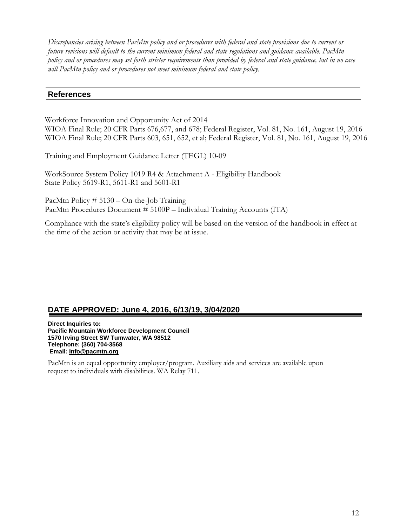*Discrepancies arising between PacMtn policy and or procedures with federal and state provisions due to current or future revisions will default to the current minimum federal and state regulations and guidance available. PacMtn policy and or procedures may set forth stricter requirements than provided by federal and state guidance, but in no case will PacMtn policy and or procedures not meet minimum federal and state policy.*

### **References**

Workforce Innovation and Opportunity Act of 2014 WIOA Final Rule; 20 CFR Parts 676,677, and 678; Federal Register, Vol. 81, No. 161, August 19, 2016 WIOA Final Rule; 20 CFR Parts 603, 651, 652, et al; Federal Register, Vol. 81, No. 161, August 19, 2016

Training and Employment Guidance Letter (TEGL) 10-09

WorkSource System Policy 1019 R4 & Attachment A - Eligibility Handbook State Policy 5619-R1, 5611-R1 and 5601-R1

PacMtn Policy # 5130 – On-the-Job Training PacMtn Procedures Document # 5100P – Individual Training Accounts (ITA)

Compliance with the state's eligibility policy will be based on the version of the handbook in effect at the time of the action or activity that may be at issue.

# **DATE APPROVED: June 4, 2016, 6/13/19, 3/04/2020**

**Direct Inquiries to: Pacific Mountain Workforce Development Council 1570 Irving Street SW Tumwater, WA 98512 Telephone: (360) 704-3568 Email: [Info@pacmtn.org](mailto:Info@pacmtn.org)**

PacMtn is an equal opportunity employer/program. Auxiliary aids and services are available upon request to individuals with disabilities. WA Relay 711.